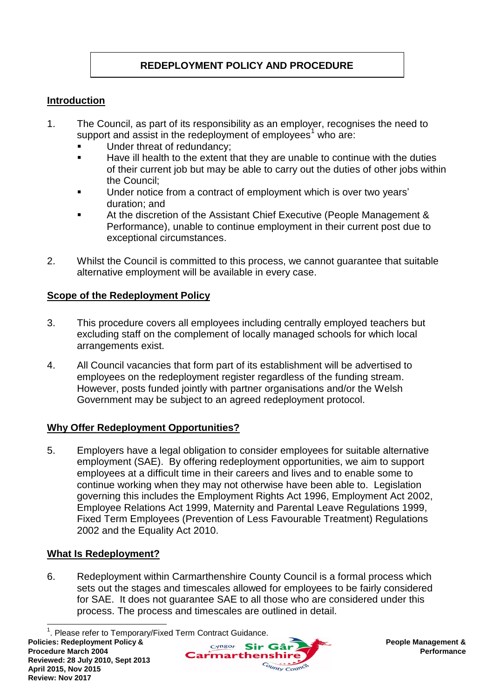# **REDEPLOYMENT POLICY AND PROCEDURE**

### **Introduction**

- 1. The Council, as part of its responsibility as an employer, recognises the need to support and assist in the redeployment of employees<sup>1</sup> who are:
	- Under threat of redundancy;
	- Have ill health to the extent that they are unable to continue with the duties of their current job but may be able to carry out the duties of other jobs within the Council;
	- Under notice from a contract of employment which is over two years' duration; and
	- At the discretion of the Assistant Chief Executive (People Management & Performance), unable to continue employment in their current post due to exceptional circumstances.
- 2. Whilst the Council is committed to this process, we cannot guarantee that suitable alternative employment will be available in every case.

### **Scope of the Redeployment Policy**

- 3. This procedure covers all employees including centrally employed teachers but excluding staff on the complement of locally managed schools for which local arrangements exist.
- 4. All Council vacancies that form part of its establishment will be advertised to employees on the redeployment register regardless of the funding stream. However, posts funded jointly with partner organisations and/or the Welsh Government may be subject to an agreed redeployment protocol.

### **Why Offer Redeployment Opportunities?**

5. Employers have a legal obligation to consider employees for suitable alternative employment (SAE). By offering redeployment opportunities, we aim to support employees at a difficult time in their careers and lives and to enable some to continue working when they may not otherwise have been able to. Legislation governing this includes the Employment Rights Act 1996, Employment Act 2002, Employee Relations Act 1999, Maternity and Parental Leave Regulations 1999, Fixed Term Employees (Prevention of Less Favourable Treatment) Regulations 2002 and the Equality Act 2010.

### **What Is Redeployment?**

6. Redeployment within Carmarthenshire County Council is a formal process which sets out the stages and timescales allowed for employees to be fairly considered for SAE. It does not guarantee SAE to all those who are considered under this process. The process and timescales are outlined in detail.

 $\overline{a}$ 



<sup>&</sup>lt;sup>1</sup>. Please refer to Temporary/Fixed Term Contract Guidance.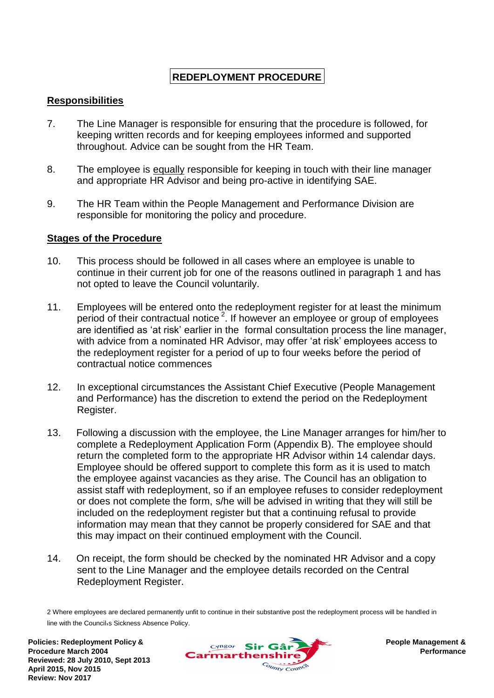## **REDEPLOYMENT PROCEDURE**

### **Responsibilities**

- 7. The Line Manager is responsible for ensuring that the procedure is followed, for keeping written records and for keeping employees informed and supported throughout. Advice can be sought from the HR Team.
- 8. The employee is equally responsible for keeping in touch with their line manager and appropriate HR Advisor and being pro-active in identifying SAE.
- 9. The HR Team within the People Management and Performance Division are responsible for monitoring the policy and procedure.

### **Stages of the Procedure**

- 10. This process should be followed in all cases where an employee is unable to continue in their current job for one of the reasons outlined in paragraph 1 and has not opted to leave the Council voluntarily.
- 11. Employees will be entered onto the redeployment register for at least the minimum period of their contractual notice  $2$ . If however an employee or group of employees are identified as 'at risk' earlier in the formal consultation process the line manager, with advice from a nominated HR Advisor, may offer 'at risk' employees access to the redeployment register for a period of up to four weeks before the period of contractual notice commences
- 12. In exceptional circumstances the Assistant Chief Executive (People Management and Performance) has the discretion to extend the period on the Redeployment Register.
- 13. Following a discussion with the employee, the Line Manager arranges for him/her to complete a Redeployment Application Form (Appendix B). The employee should return the completed form to the appropriate HR Advisor within 14 calendar days. Employee should be offered support to complete this form as it is used to match the employee against vacancies as they arise. The Council has an obligation to assist staff with redeployment, so if an employee refuses to consider redeployment or does not complete the form, s/he will be advised in writing that they will still be included on the redeployment register but that a continuing refusal to provide information may mean that they cannot be properly considered for SAE and that this may impact on their continued employment with the Council.
- 14. On receipt, the form should be checked by the nominated HR Advisor and a copy sent to the Line Manager and the employee details recorded on the Central Redeployment Register.

2 Where employees are declared permanently unfit to continue in their substantive post the redeployment process will be handled in line with the Council<sub>'</sub>s Sickness Absence Policy.

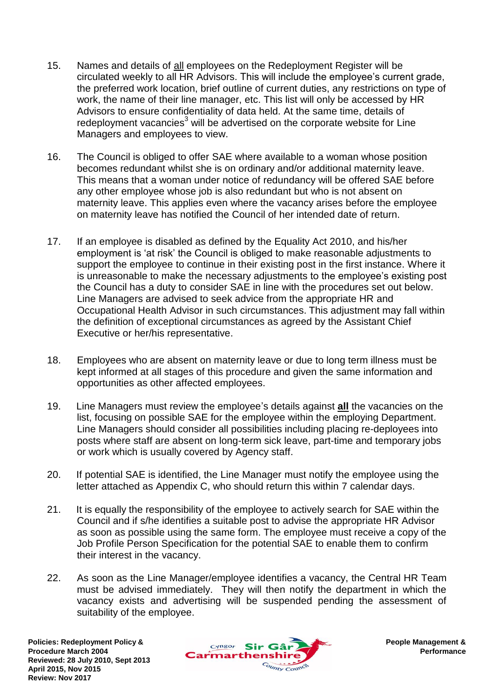- 15. Names and details of all employees on the Redeployment Register will be circulated weekly to all HR Advisors. This will include the employee's current grade, the preferred work location, brief outline of current duties, any restrictions on type of work, the name of their line manager, etc. This list will only be accessed by HR Advisors to ensure confidentiality of data held. At the same time, details of redeployment vacancies<sup>3</sup> will be advertised on the corporate website for Line Managers and employees to view.
- 16. The Council is obliged to offer SAE where available to a woman whose position becomes redundant whilst she is on ordinary and/or additional maternity leave. This means that a woman under notice of redundancy will be offered SAE before any other employee whose job is also redundant but who is not absent on maternity leave. This applies even where the vacancy arises before the employee on maternity leave has notified the Council of her intended date of return.
- 17. If an employee is disabled as defined by the Equality Act 2010, and his/her employment is 'at risk' the Council is obliged to make reasonable adjustments to support the employee to continue in their existing post in the first instance. Where it is unreasonable to make the necessary adjustments to the employee's existing post the Council has a duty to consider SAE in line with the procedures set out below. Line Managers are advised to seek advice from the appropriate HR and Occupational Health Advisor in such circumstances. This adjustment may fall within the definition of exceptional circumstances as agreed by the Assistant Chief Executive or her/his representative.
- 18. Employees who are absent on maternity leave or due to long term illness must be kept informed at all stages of this procedure and given the same information and opportunities as other affected employees.
- 19. Line Managers must review the employee's details against **all** the vacancies on the list, focusing on possible SAE for the employee within the employing Department. Line Managers should consider all possibilities including placing re-deployees into posts where staff are absent on long-term sick leave, part-time and temporary jobs or work which is usually covered by Agency staff.
- 20. If potential SAE is identified, the Line Manager must notify the employee using the letter attached as Appendix C, who should return this within 7 calendar days.
- 21. It is equally the responsibility of the employee to actively search for SAE within the Council and if s/he identifies a suitable post to advise the appropriate HR Advisor as soon as possible using the same form. The employee must receive a copy of the Job Profile Person Specification for the potential SAE to enable them to confirm their interest in the vacancy.
- 22. As soon as the Line Manager/employee identifies a vacancy, the Central HR Team must be advised immediately. They will then notify the department in which the vacancy exists and advertising will be suspended pending the assessment of suitability of the employee.

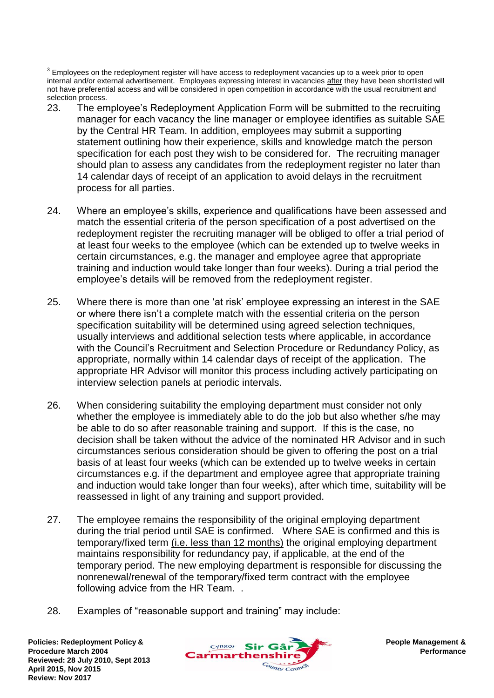$^3$  Employees on the redeployment register will have access to redeployment vacancies up to a week prior to open internal and/or external advertisement. Employees expressing interest in vacancies after they have been shortlisted will not have preferential access and will be considered in open competition in accordance with the usual recruitment and selection process.

- 23. The employee's Redeployment Application Form will be submitted to the recruiting manager for each vacancy the line manager or employee identifies as suitable SAE by the Central HR Team. In addition, employees may submit a supporting statement outlining how their experience, skills and knowledge match the person specification for each post they wish to be considered for. The recruiting manager should plan to assess any candidates from the redeployment register no later than 14 calendar days of receipt of an application to avoid delays in the recruitment process for all parties.
- 24. Where an employee's skills, experience and qualifications have been assessed and match the essential criteria of the person specification of a post advertised on the redeployment register the recruiting manager will be obliged to offer a trial period of at least four weeks to the employee (which can be extended up to twelve weeks in certain circumstances, e.g. the manager and employee agree that appropriate training and induction would take longer than four weeks). During a trial period the employee's details will be removed from the redeployment register.
- 25. Where there is more than one 'at risk' employee expressing an interest in the SAE or where there isn't a complete match with the essential criteria on the person specification suitability will be determined using agreed selection techniques, usually interviews and additional selection tests where applicable, in accordance with the Council's Recruitment and Selection Procedure or Redundancy Policy, as appropriate, normally within 14 calendar days of receipt of the application. The appropriate HR Advisor will monitor this process including actively participating on interview selection panels at periodic intervals.
- 26. When considering suitability the employing department must consider not only whether the employee is immediately able to do the job but also whether s/he may be able to do so after reasonable training and support. If this is the case, no decision shall be taken without the advice of the nominated HR Advisor and in such circumstances serious consideration should be given to offering the post on a trial basis of at least four weeks (which can be extended up to twelve weeks in certain circumstances e.g. if the department and employee agree that appropriate training and induction would take longer than four weeks), after which time, suitability will be reassessed in light of any training and support provided.
- 27. The employee remains the responsibility of the original employing department during the trial period until SAE is confirmed. Where SAE is confirmed and this is temporary/fixed term (i.e. less than 12 months) the original employing department maintains responsibility for redundancy pay, if applicable, at the end of the temporary period. The new employing department is responsible for discussing the nonrenewal/renewal of the temporary/fixed term contract with the employee following advice from the HR Team. .
- 28. Examples of "reasonable support and training" may include:

**Policies: Redeployment Policy & Procedure March 2004 Reviewed: 28 July 2010, Sept 2013 April 2015, Nov 2015 Review: Nov 2017**

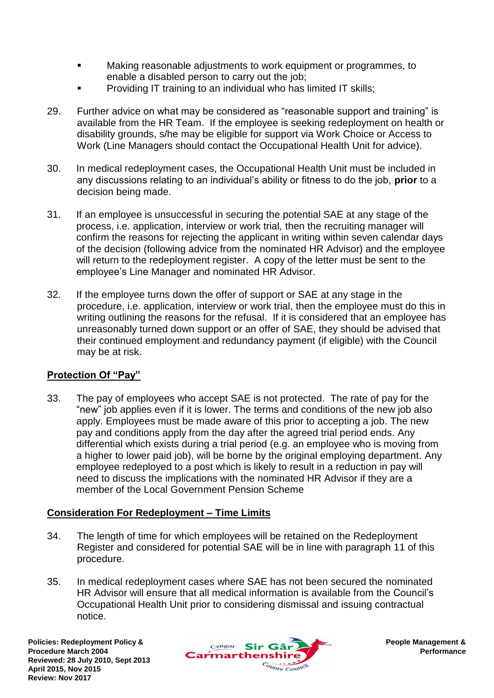- Making reasonable adjustments to work equipment or programmes, to enable a disabled person to carry out the job;
- Providing IT training to an individual who has limited IT skills;
- 29. Further advice on what may be considered as "reasonable support and training" is available from the HR Team. If the employee is seeking redeployment on health or disability grounds, s/he may be eligible for support via Work Choice or Access to Work (Line Managers should contact the Occupational Health Unit for advice).
- 30. In medical redeployment cases, the Occupational Health Unit must be included in any discussions relating to an individual's ability or fitness to do the job, **prior** to a decision being made.
- 31. If an employee is unsuccessful in securing the potential SAE at any stage of the process, i.e. application, interview or work trial, then the recruiting manager will confirm the reasons for rejecting the applicant in writing within seven calendar days of the decision (following advice from the nominated HR Advisor) and the employee will return to the redeployment register. A copy of the letter must be sent to the employee's Line Manager and nominated HR Advisor.
- 32. If the employee turns down the offer of support or SAE at any stage in the procedure, i.e. application, interview or work trial, then the employee must do this in writing outlining the reasons for the refusal. If it is considered that an employee has unreasonably turned down support or an offer of SAE, they should be advised that their continued employment and redundancy payment (if eligible) with the Council may be at risk.

### **Protection Of "Pay"**

33. The pay of employees who accept SAE is not protected. The rate of pay for the "new" job applies even if it is lower. The terms and conditions of the new job also apply. Employees must be made aware of this prior to accepting a job. The new pay and conditions apply from the day after the agreed trial period ends. Any differential which exists during a trial period (e.g. an employee who is moving from a higher to lower paid job), will be borne by the original employing department. Any employee redeployed to a post which is likely to result in a reduction in pay will need to discuss the implications with the nominated HR Advisor if they are a member of the Local Government Pension Scheme

### **Consideration For Redeployment – Time Limits**

- 34. The length of time for which employees will be retained on the Redeployment Register and considered for potential SAE will be in line with paragraph 11 of this procedure.
- 35. In medical redeployment cases where SAE has not been secured the nominated HR Advisor will ensure that all medical information is available from the Council's Occupational Health Unit prior to considering dismissal and issuing contractual notice.

**Policies: Redeployment Policy & Procedure March 2004 Reviewed: 28 July 2010, Sept 2013 April 2015, Nov 2015 Review: Nov 2017**

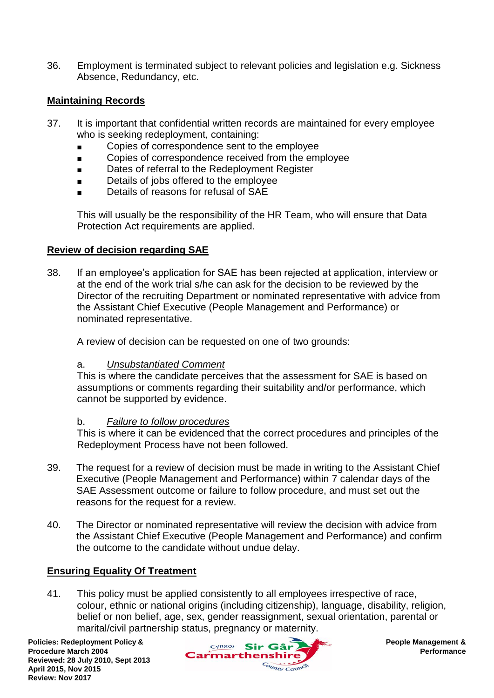36. Employment is terminated subject to relevant policies and legislation e.g. Sickness Absence, Redundancy, etc.

### **Maintaining Records**

- 37. It is important that confidential written records are maintained for every employee who is seeking redeployment, containing:
	- Copies of correspondence sent to the employee
	- Copies of correspondence received from the employee
	- Dates of referral to the Redeployment Register
	- Details of jobs offered to the employee
	- Details of reasons for refusal of SAE

This will usually be the responsibility of the HR Team, who will ensure that Data Protection Act requirements are applied.

#### **Review of decision regarding SAE**

38. If an employee's application for SAE has been rejected at application, interview or at the end of the work trial s/he can ask for the decision to be reviewed by the Director of the recruiting Department or nominated representative with advice from the Assistant Chief Executive (People Management and Performance) or nominated representative.

A review of decision can be requested on one of two grounds:

#### a. *Unsubstantiated Comment*

This is where the candidate perceives that the assessment for SAE is based on assumptions or comments regarding their suitability and/or performance, which cannot be supported by evidence.

#### b. *Failure to follow procedures*

This is where it can be evidenced that the correct procedures and principles of the Redeployment Process have not been followed.

- 39. The request for a review of decision must be made in writing to the Assistant Chief Executive (People Management and Performance) within 7 calendar days of the SAE Assessment outcome or failure to follow procedure, and must set out the reasons for the request for a review.
- 40. The Director or nominated representative will review the decision with advice from the Assistant Chief Executive (People Management and Performance) and confirm the outcome to the candidate without undue delay.

#### **Ensuring Equality Of Treatment**

41. This policy must be applied consistently to all employees irrespective of race, colour, ethnic or national origins (including citizenship), language, disability, religion, belief or non belief, age, sex, gender reassignment, sexual orientation, parental or marital/civil partnership status, pregnancy or maternity.

**Policies: Redeployment Policy & Procedure March 2004 Reviewed: 28 July 2010, Sept 2013 April 2015, Nov 2015 Review: Nov 2017**